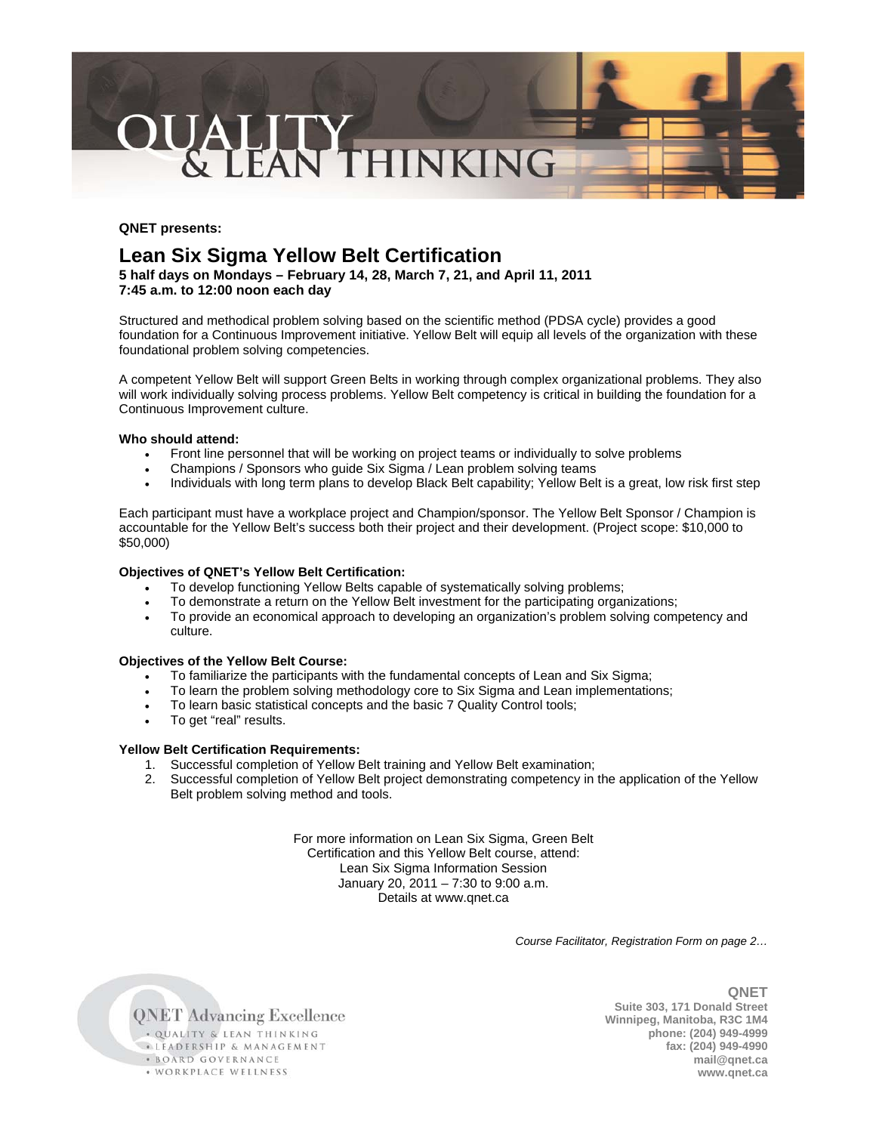

## **QNET presents:**

# **Lean Six Sigma Yellow Belt Certification**

**5 half days on Mondays – February 14, 28, March 7, 21, and April 11, 2011 7:45 a.m. to 12:00 noon each day** 

Structured and methodical problem solving based on the scientific method (PDSA cycle) provides a good foundation for a Continuous Improvement initiative. Yellow Belt will equip all levels of the organization with these foundational problem solving competencies.

A competent Yellow Belt will support Green Belts in working through complex organizational problems. They also will work individually solving process problems. Yellow Belt competency is critical in building the foundation for a Continuous Improvement culture.

### **Who should attend:**

- Front line personnel that will be working on project teams or individually to solve problems
- Champions / Sponsors who quide Six Sigma / Lean problem solving teams
- Individuals with long term plans to develop Black Belt capability; Yellow Belt is a great, low risk first step

Each participant must have a workplace project and Champion/sponsor. The Yellow Belt Sponsor / Champion is accountable for the Yellow Belt's success both their project and their development. (Project scope: \$10,000 to \$50,000)

### **Objectives of QNET's Yellow Belt Certification:**

- To develop functioning Yellow Belts capable of systematically solving problems;
- To demonstrate a return on the Yellow Belt investment for the participating organizations;
- To provide an economical approach to developing an organization's problem solving competency and culture.

### **Objectives of the Yellow Belt Course:**

- To familiarize the participants with the fundamental concepts of Lean and Six Sigma;
- To learn the problem solving methodology core to Six Sigma and Lean implementations;
- To learn basic statistical concepts and the basic 7 Quality Control tools;
- To get "real" results.

## **Yellow Belt Certification Requirements:**

- 1. Successful completion of Yellow Belt training and Yellow Belt examination;
- 2. Successful completion of Yellow Belt project demonstrating competency in the application of the Yellow Belt problem solving method and tools.

For more information on Lean Six Sigma, Green Belt Certification and this Yellow Belt course, attend: Lean Six Sigma Information Session January 20, 2011 – 7:30 to 9:00 a.m. Details at www.qnet.ca

*Course Facilitator, Registration Form on page 2…* 

**QNET Advancing Excellence** . QUALITY & LEAN THINKING **ELEADERSHIP & MANAGEMENT** · BOARD GOVERNANCE · WORKPLACE WELLNESS

**QNET Suite 303, 171 Donald Street Winnipeg, Manitoba, R3C 1M4 phone: (204) 949-4999 fax: (204) 949-4990 mail@qnet.ca www.qnet.ca**